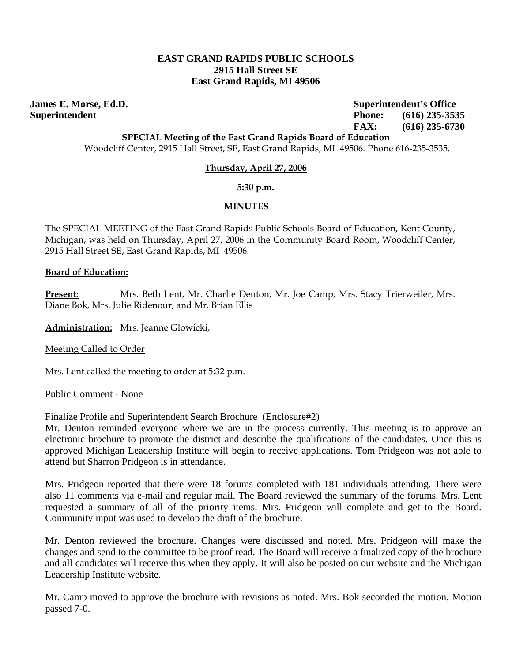## **EAST GRAND RAPIDS PUBLIC SCHOOLS 2915 Hall Street SE East Grand Rapids, MI 49506**

**James E. Morse, Ed.D. Superintendent's Office Superintendent Phone: (616) 235-3535 FAX: (616) 235-6730**

**SPECIAL Meeting of the East Grand Rapids Board of Education**

Woodcliff Center, 2915 Hall Street, SE, East Grand Rapids, MI 49506. Phone 616-235-3535.

#### **Thursday, April 27, 2006**

**5:30 p.m.** 

## **MINUTES**

The SPECIAL MEETING of the East Grand Rapids Public Schools Board of Education, Kent County, Michigan, was held on Thursday, April 27, 2006 in the Community Board Room, Woodcliff Center, 2915 Hall Street SE, East Grand Rapids, MI 49506.

#### **Board of Education:**

**Present:** Mrs. Beth Lent, Mr. Charlie Denton, Mr. Joe Camp, Mrs. Stacy Trierweiler, Mrs. Diane Bok, Mrs. Julie Ridenour, and Mr. Brian Ellis

**Administration:** Mrs. Jeanne Glowicki,

Meeting Called to Order

Mrs. Lent called the meeting to order at 5:32 p.m.

Public Comment - None

Finalize Profile and Superintendent Search Brochure(Enclosure#2)

Mr. Denton reminded everyone where we are in the process currently. This meeting is to approve an electronic brochure to promote the district and describe the qualifications of the candidates. Once this is approved Michigan Leadership Institute will begin to receive applications. Tom Pridgeon was not able to attend but Sharron Pridgeon is in attendance.

 Mrs. Pridgeon reported that there were 18 forums completed with 181 individuals attending. There were also 11 comments via e-mail and regular mail. The Board reviewed the summary of the forums. Mrs. Lent requested a summary of all of the priority items. Mrs. Pridgeon will complete and get to the Board. Community input was used to develop the draft of the brochure.

 Mr. Denton reviewed the brochure. Changes were discussed and noted. Mrs. Pridgeon will make the changes and send to the committee to be proof read. The Board will receive a finalized copy of the brochure and all candidates will receive this when they apply. It will also be posted on our website and the Michigan Leadership Institute website.

 Mr. Camp moved to approve the brochure with revisions as noted. Mrs. Bok seconded the motion. Motion passed 7-0.